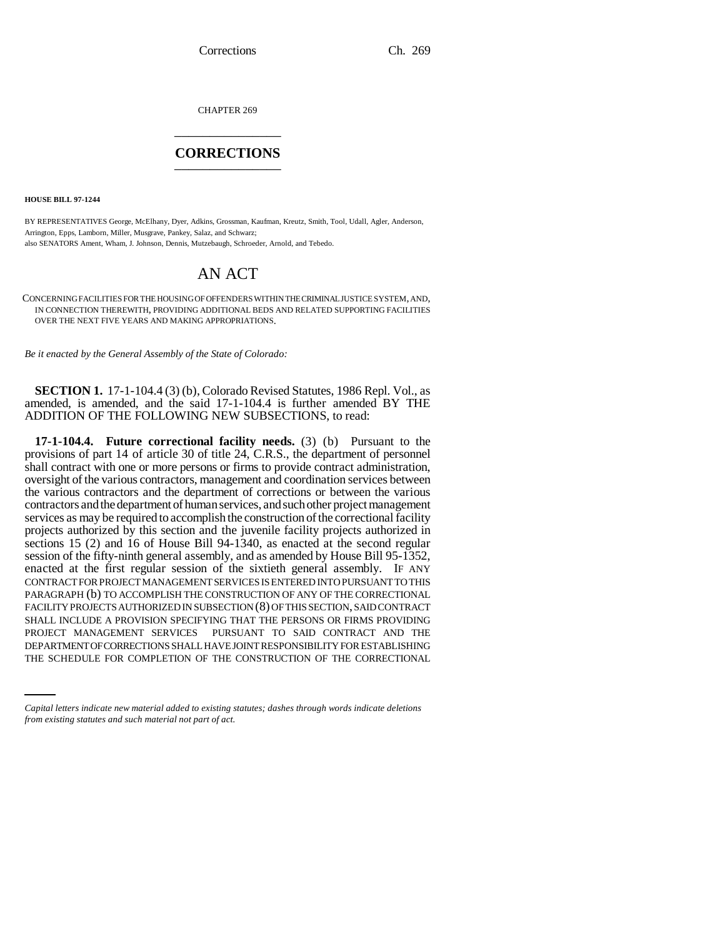Corrections Ch. 269

CHAPTER 269 \_\_\_\_\_\_\_\_\_\_\_\_\_\_\_

# **CORRECTIONS** \_\_\_\_\_\_\_\_\_\_\_\_\_\_\_

**HOUSE BILL 97-1244**

BY REPRESENTATIVES George, McElhany, Dyer, Adkins, Grossman, Kaufman, Kreutz, Smith, Tool, Udall, Agler, Anderson, Arrington, Epps, Lamborn, Miller, Musgrave, Pankey, Salaz, and Schwarz; also SENATORS Ament, Wham, J. Johnson, Dennis, Mutzebaugh, Schroeder, Arnold, and Tebedo.

# AN ACT

CONCERNING FACILITIES FOR THE HOUSING OF OFFENDERS WITHIN THE CRIMINAL JUSTICE SYSTEM, AND, IN CONNECTION THEREWITH, PROVIDING ADDITIONAL BEDS AND RELATED SUPPORTING FACILITIES OVER THE NEXT FIVE YEARS AND MAKING APPROPRIATIONS.

*Be it enacted by the General Assembly of the State of Colorado:*

**SECTION 1.** 17-1-104.4 (3) (b), Colorado Revised Statutes, 1986 Repl. Vol., as amended, is amended, and the said 17-1-104.4 is further amended BY THE ADDITION OF THE FOLLOWING NEW SUBSECTIONS, to read:

PROJECT MANAGEMENT SERVICES PURSUANT TO SAID CONTRACT AND THE **17-1-104.4. Future correctional facility needs.** (3) (b) Pursuant to the provisions of part 14 of article 30 of title 24, C.R.S., the department of personnel shall contract with one or more persons or firms to provide contract administration, oversight of the various contractors, management and coordination services between the various contractors and the department of corrections or between the various contractors and the department of human services, and such other project management services as may be required to accomplish the construction of the correctional facility projects authorized by this section and the juvenile facility projects authorized in sections 15 (2) and 16 of House Bill 94-1340, as enacted at the second regular session of the fifty-ninth general assembly, and as amended by House Bill 95-1352, enacted at the first regular session of the sixtieth general assembly. IF ANY CONTRACT FOR PROJECT MANAGEMENT SERVICES IS ENTERED INTO PURSUANT TO THIS PARAGRAPH (b) TO ACCOMPLISH THE CONSTRUCTION OF ANY OF THE CORRECTIONAL FACILITY PROJECTS AUTHORIZED IN SUBSECTION (8) OF THIS SECTION, SAID CONTRACT SHALL INCLUDE A PROVISION SPECIFYING THAT THE PERSONS OR FIRMS PROVIDING DEPARTMENT OF CORRECTIONS SHALL HAVE JOINT RESPONSIBILITY FOR ESTABLISHING THE SCHEDULE FOR COMPLETION OF THE CONSTRUCTION OF THE CORRECTIONAL

*Capital letters indicate new material added to existing statutes; dashes through words indicate deletions from existing statutes and such material not part of act.*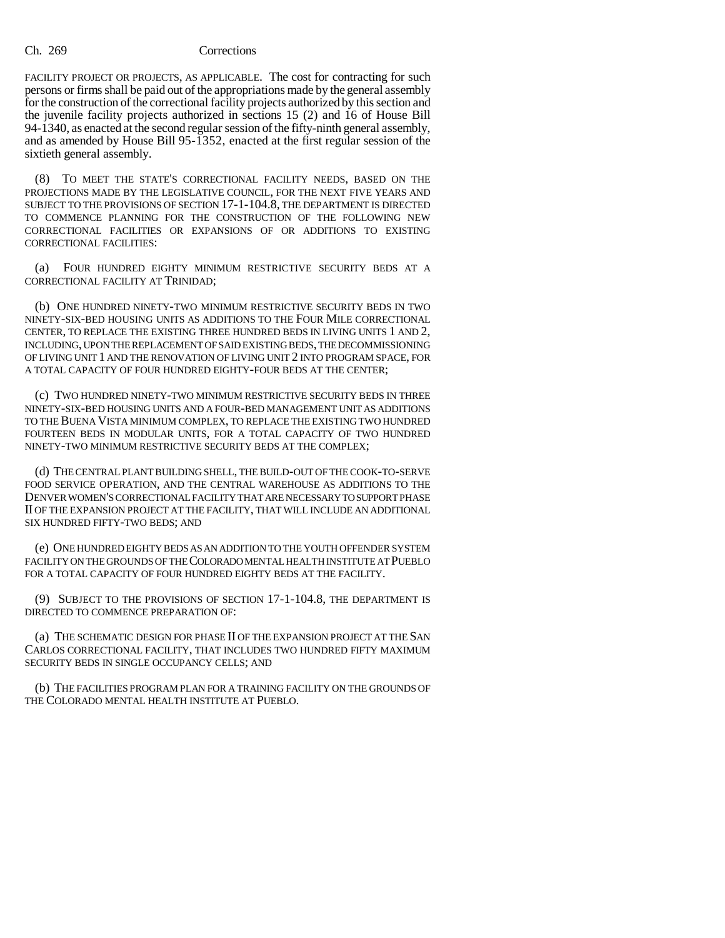### Ch. 269 Corrections

FACILITY PROJECT OR PROJECTS, AS APPLICABLE. The cost for contracting for such persons or firms shall be paid out of the appropriations made by the general assembly for the construction of the correctional facility projects authorized by this section and the juvenile facility projects authorized in sections 15 (2) and 16 of House Bill 94-1340, as enacted at the second regular session of the fifty-ninth general assembly, and as amended by House Bill 95-1352, enacted at the first regular session of the sixtieth general assembly.

(8) TO MEET THE STATE'S CORRECTIONAL FACILITY NEEDS, BASED ON THE PROJECTIONS MADE BY THE LEGISLATIVE COUNCIL, FOR THE NEXT FIVE YEARS AND SUBJECT TO THE PROVISIONS OF SECTION 17-1-104.8, THE DEPARTMENT IS DIRECTED TO COMMENCE PLANNING FOR THE CONSTRUCTION OF THE FOLLOWING NEW CORRECTIONAL FACILITIES OR EXPANSIONS OF OR ADDITIONS TO EXISTING CORRECTIONAL FACILITIES:

(a) FOUR HUNDRED EIGHTY MINIMUM RESTRICTIVE SECURITY BEDS AT A CORRECTIONAL FACILITY AT TRINIDAD;

(b) ONE HUNDRED NINETY-TWO MINIMUM RESTRICTIVE SECURITY BEDS IN TWO NINETY-SIX-BED HOUSING UNITS AS ADDITIONS TO THE FOUR MILE CORRECTIONAL CENTER, TO REPLACE THE EXISTING THREE HUNDRED BEDS IN LIVING UNITS 1 AND 2, INCLUDING, UPON THE REPLACEMENT OF SAID EXISTING BEDS, THE DECOMMISSIONING OF LIVING UNIT 1 AND THE RENOVATION OF LIVING UNIT 2 INTO PROGRAM SPACE, FOR A TOTAL CAPACITY OF FOUR HUNDRED EIGHTY-FOUR BEDS AT THE CENTER;

(c) TWO HUNDRED NINETY-TWO MINIMUM RESTRICTIVE SECURITY BEDS IN THREE NINETY-SIX-BED HOUSING UNITS AND A FOUR-BED MANAGEMENT UNIT AS ADDITIONS TO THE BUENA VISTA MINIMUM COMPLEX, TO REPLACE THE EXISTING TWO HUNDRED FOURTEEN BEDS IN MODULAR UNITS, FOR A TOTAL CAPACITY OF TWO HUNDRED NINETY-TWO MINIMUM RESTRICTIVE SECURITY BEDS AT THE COMPLEX;

(d) THE CENTRAL PLANT BUILDING SHELL, THE BUILD-OUT OF THE COOK-TO-SERVE FOOD SERVICE OPERATION, AND THE CENTRAL WAREHOUSE AS ADDITIONS TO THE DENVER WOMEN'S CORRECTIONAL FACILITY THAT ARE NECESSARY TO SUPPORT PHASE II OF THE EXPANSION PROJECT AT THE FACILITY, THAT WILL INCLUDE AN ADDITIONAL SIX HUNDRED FIFTY-TWO BEDS; AND

(e) ONE HUNDRED EIGHTY BEDS AS AN ADDITION TO THE YOUTH OFFENDER SYSTEM FACILITY ON THE GROUNDS OF THE COLORADO MENTAL HEALTH INSTITUTE AT PUEBLO FOR A TOTAL CAPACITY OF FOUR HUNDRED EIGHTY BEDS AT THE FACILITY.

(9) SUBJECT TO THE PROVISIONS OF SECTION 17-1-104.8, THE DEPARTMENT IS DIRECTED TO COMMENCE PREPARATION OF:

(a) THE SCHEMATIC DESIGN FOR PHASE II OF THE EXPANSION PROJECT AT THE SAN CARLOS CORRECTIONAL FACILITY, THAT INCLUDES TWO HUNDRED FIFTY MAXIMUM SECURITY BEDS IN SINGLE OCCUPANCY CELLS; AND

(b) THE FACILITIES PROGRAM PLAN FOR A TRAINING FACILITY ON THE GROUNDS OF THE COLORADO MENTAL HEALTH INSTITUTE AT PUEBLO.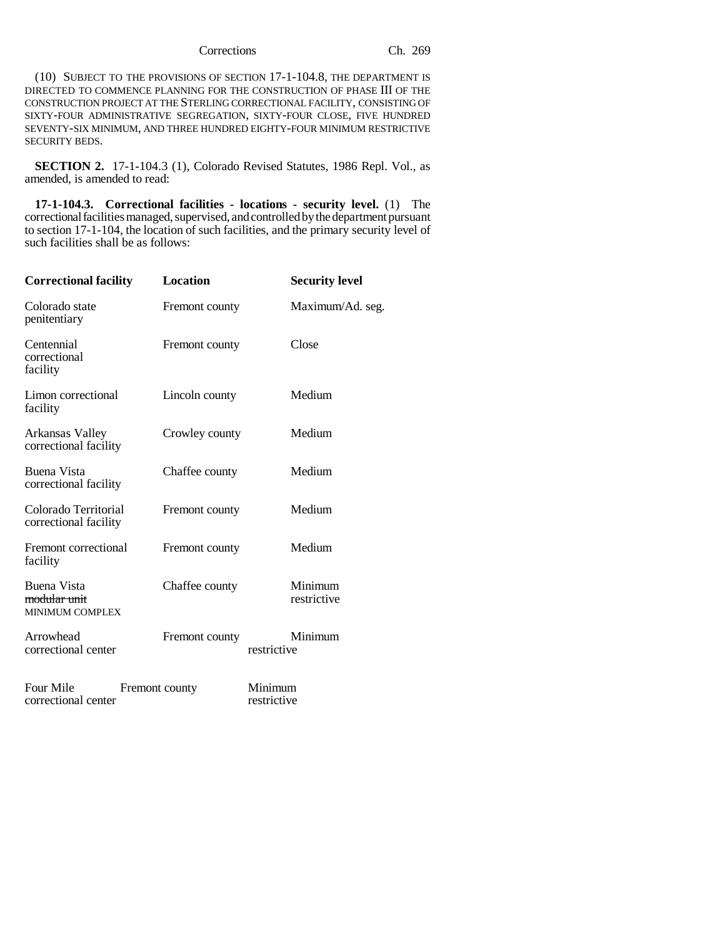# Corrections Ch. 269

(10) SUBJECT TO THE PROVISIONS OF SECTION 17-1-104.8, THE DEPARTMENT IS DIRECTED TO COMMENCE PLANNING FOR THE CONSTRUCTION OF PHASE III OF THE CONSTRUCTION PROJECT AT THE STERLING CORRECTIONAL FACILITY, CONSISTING OF SIXTY-FOUR ADMINISTRATIVE SEGREGATION, SIXTY-FOUR CLOSE, FIVE HUNDRED SEVENTY-SIX MINIMUM, AND THREE HUNDRED EIGHTY-FOUR MINIMUM RESTRICTIVE SECURITY BEDS.

**SECTION 2.** 17-1-104.3 (1), Colorado Revised Statutes, 1986 Repl. Vol., as amended, is amended to read:

**17-1-104.3. Correctional facilities - locations - security level.** (1) The correctional facilities managed, supervised, and controlled by the department pursuant to section 17-1-104, the location of such facilities, and the primary security level of such facilities shall be as follows:

| <b>Correctional facility</b>                                            | <b>Location</b> |                        | <b>Security level</b>  |
|-------------------------------------------------------------------------|-----------------|------------------------|------------------------|
| Colorado state<br>penitentiary                                          | Fremont county  |                        | Maximum/Ad. seg.       |
| Centennial<br>correctional<br>facility                                  | Fremont county  |                        | Close                  |
| Limon correctional<br>facility                                          | Lincoln county  |                        | Medium                 |
| Arkansas Valley<br>correctional facility                                | Crowley county  |                        | Medium                 |
| Buena Vista<br>correctional facility                                    | Chaffee county  |                        | Medium                 |
| Colorado Territorial<br>correctional facility                           | Fremont county  |                        | Medium                 |
| Fremont correctional<br>facility                                        | Fremont county  |                        | Medium                 |
| <b>Buena Vista</b><br><del>modular unit</del><br><b>MINIMUM COMPLEX</b> | Chaffee county  |                        | Minimum<br>restrictive |
| Arrowhead<br>correctional center                                        | Fremont county  | restrictive            | Minimum                |
| Four Mile<br>correctional center                                        | Fremont county  | Minimum<br>restrictive |                        |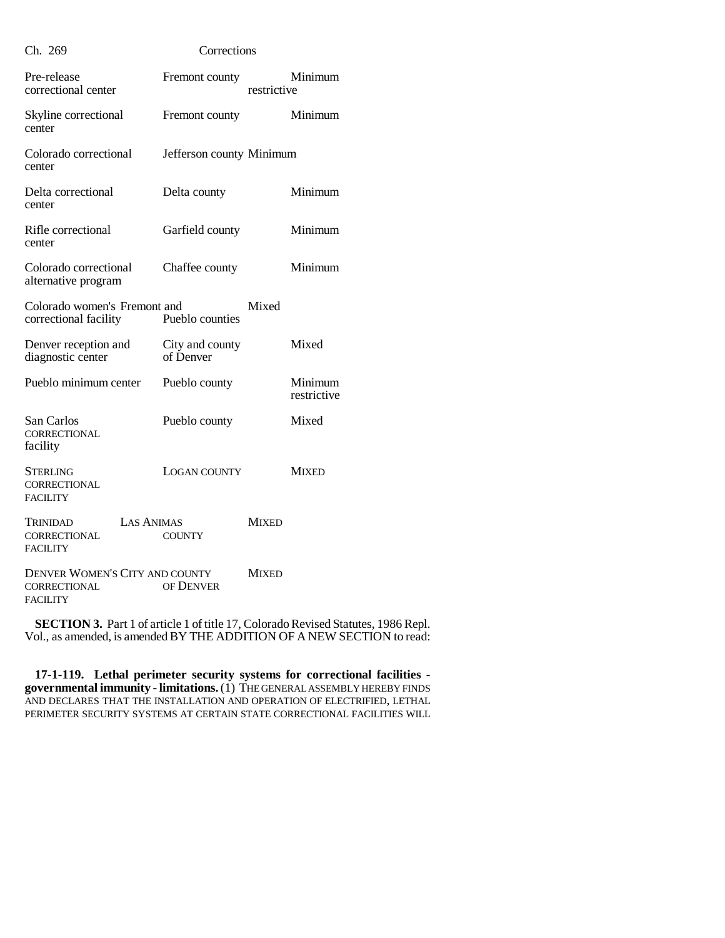| Ch. 269                                                                 | Corrections                  |              |                        |  |
|-------------------------------------------------------------------------|------------------------------|--------------|------------------------|--|
| Pre-release<br>correctional center                                      | Fremont county               | restrictive  | Minimum                |  |
| Skyline correctional<br>center                                          | Fremont county               |              | Minimum                |  |
| Colorado correctional<br>center                                         | Jefferson county Minimum     |              |                        |  |
| Delta correctional<br>center                                            | Delta county                 |              | Minimum                |  |
| Rifle correctional<br>center                                            | Garfield county              |              | Minimum                |  |
| Colorado correctional<br>alternative program                            | Chaffee county               |              | Minimum                |  |
| Colorado women's Fremont and<br>correctional facility                   | Pueblo counties              | Mixed        |                        |  |
| Denver reception and<br>diagnostic center                               | City and county<br>of Denver |              | Mixed                  |  |
| Pueblo minimum center                                                   | Pueblo county                |              | Minimum<br>restrictive |  |
| San Carlos<br><b>CORRECTIONAL</b><br>facility                           | Pueblo county                |              | Mixed                  |  |
| <b>STERLING</b><br>CORRECTIONAL<br><b>FACILITY</b>                      | LOGAN COUNTY                 |              | <b>MIXED</b>           |  |
| <b>LAS ANIMAS</b><br>TRINIDAD<br><b>CORRECTIONAL</b><br><b>FACILITY</b> | <b>COUNTY</b>                | <b>MIXED</b> |                        |  |
| DENVER WOMEN'S CITY AND COUNTY<br>CORRECTIONAL<br><b>FACILITY</b>       | OF DENVER                    | <b>MIXED</b> |                        |  |

**SECTION 3.** Part 1 of article 1 of title 17, Colorado Revised Statutes, 1986 Repl. Vol., as amended, is amended BY THE ADDITION OF A NEW SECTION to read:

**17-1-119. Lethal perimeter security systems for correctional facilities governmental immunity - limitations.** (1) THE GENERAL ASSEMBLY HEREBY FINDS AND DECLARES THAT THE INSTALLATION AND OPERATION OF ELECTRIFIED, LETHAL PERIMETER SECURITY SYSTEMS AT CERTAIN STATE CORRECTIONAL FACILITIES WILL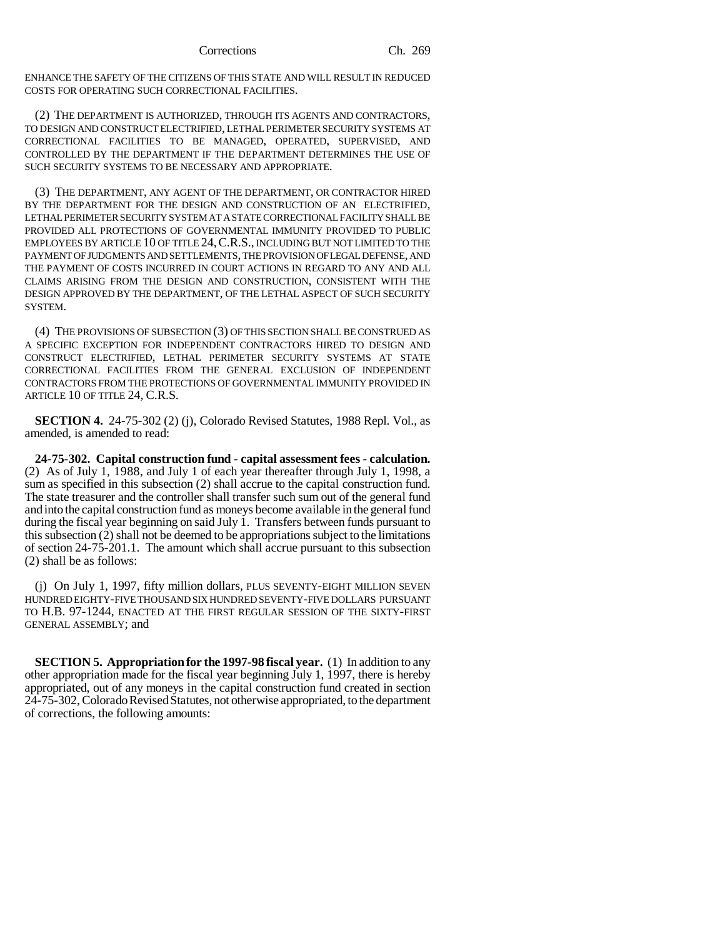ENHANCE THE SAFETY OF THE CITIZENS OF THIS STATE AND WILL RESULT IN REDUCED COSTS FOR OPERATING SUCH CORRECTIONAL FACILITIES.

(2) THE DEPARTMENT IS AUTHORIZED, THROUGH ITS AGENTS AND CONTRACTORS, TO DESIGN AND CONSTRUCT ELECTRIFIED, LETHAL PERIMETER SECURITY SYSTEMS AT CORRECTIONAL FACILITIES TO BE MANAGED, OPERATED, SUPERVISED, AND CONTROLLED BY THE DEPARTMENT IF THE DEPARTMENT DETERMINES THE USE OF SUCH SECURITY SYSTEMS TO BE NECESSARY AND APPROPRIATE.

(3) THE DEPARTMENT, ANY AGENT OF THE DEPARTMENT, OR CONTRACTOR HIRED BY THE DEPARTMENT FOR THE DESIGN AND CONSTRUCTION OF AN ELECTRIFIED, LETHAL PERIMETER SECURITY SYSTEM AT A STATE CORRECTIONAL FACILITY SHALL BE PROVIDED ALL PROTECTIONS OF GOVERNMENTAL IMMUNITY PROVIDED TO PUBLIC EMPLOYEES BY ARTICLE 10 OF TITLE 24,C.R.S., INCLUDING BUT NOT LIMITED TO THE PAYMENT OF JUDGMENTS AND SETTLEMENTS, THE PROVISION OF LEGAL DEFENSE, AND THE PAYMENT OF COSTS INCURRED IN COURT ACTIONS IN REGARD TO ANY AND ALL CLAIMS ARISING FROM THE DESIGN AND CONSTRUCTION, CONSISTENT WITH THE DESIGN APPROVED BY THE DEPARTMENT, OF THE LETHAL ASPECT OF SUCH SECURITY SYSTEM.

(4) THE PROVISIONS OF SUBSECTION (3) OF THIS SECTION SHALL BE CONSTRUED AS A SPECIFIC EXCEPTION FOR INDEPENDENT CONTRACTORS HIRED TO DESIGN AND CONSTRUCT ELECTRIFIED, LETHAL PERIMETER SECURITY SYSTEMS AT STATE CORRECTIONAL FACILITIES FROM THE GENERAL EXCLUSION OF INDEPENDENT CONTRACTORS FROM THE PROTECTIONS OF GOVERNMENTAL IMMUNITY PROVIDED IN ARTICLE 10 OF TITLE 24, C.R.S.

**SECTION 4.** 24-75-302 (2) (j), Colorado Revised Statutes, 1988 Repl. Vol., as amended, is amended to read:

**24-75-302. Capital construction fund - capital assessment fees - calculation.** (2) As of July 1, 1988, and July 1 of each year thereafter through July 1, 1998, a sum as specified in this subsection (2) shall accrue to the capital construction fund. The state treasurer and the controller shall transfer such sum out of the general fund and into the capital construction fund as moneys become available in the general fund during the fiscal year beginning on said July 1. Transfers between funds pursuant to this subsection (2) shall not be deemed to be appropriations subject to the limitations of section 24-75-201.1. The amount which shall accrue pursuant to this subsection (2) shall be as follows:

(j) On July 1, 1997, fifty million dollars, PLUS SEVENTY-EIGHT MILLION SEVEN HUNDRED EIGHTY-FIVE THOUSAND SIX HUNDRED SEVENTY-FIVE DOLLARS PURSUANT TO H.B. 97-1244, ENACTED AT THE FIRST REGULAR SESSION OF THE SIXTY-FIRST GENERAL ASSEMBLY; and

**SECTION 5. Appropriation for the 1997-98 fiscal year.** (1) In addition to any other appropriation made for the fiscal year beginning July 1, 1997, there is hereby appropriated, out of any moneys in the capital construction fund created in section 24-75-302, Colorado Revised Statutes, not otherwise appropriated, to the department of corrections, the following amounts: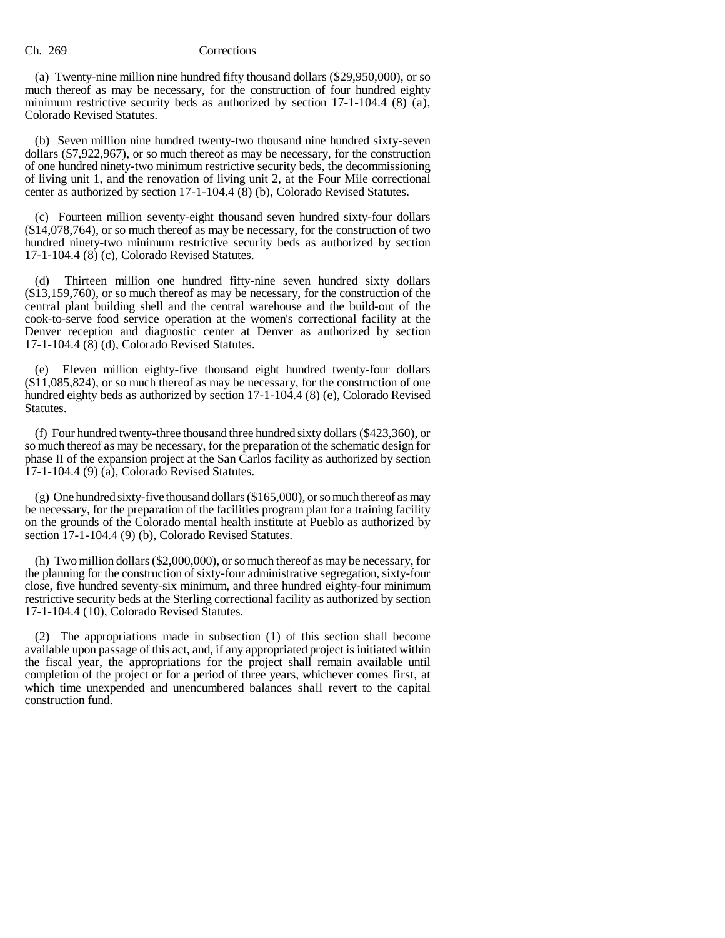# Ch. 269 Corrections

(a) Twenty-nine million nine hundred fifty thousand dollars (\$29,950,000), or so much thereof as may be necessary, for the construction of four hundred eighty minimum restrictive security beds as authorized by section 17-1-104.4 (8) (a), Colorado Revised Statutes.

(b) Seven million nine hundred twenty-two thousand nine hundred sixty-seven dollars (\$7,922,967), or so much thereof as may be necessary, for the construction of one hundred ninety-two minimum restrictive security beds, the decommissioning of living unit 1, and the renovation of living unit 2, at the Four Mile correctional center as authorized by section 17-1-104.4 (8) (b), Colorado Revised Statutes.

(c) Fourteen million seventy-eight thousand seven hundred sixty-four dollars (\$14,078,764), or so much thereof as may be necessary, for the construction of two hundred ninety-two minimum restrictive security beds as authorized by section 17-1-104.4 (8) (c), Colorado Revised Statutes.

(d) Thirteen million one hundred fifty-nine seven hundred sixty dollars (\$13,159,760), or so much thereof as may be necessary, for the construction of the central plant building shell and the central warehouse and the build-out of the cook-to-serve food service operation at the women's correctional facility at the Denver reception and diagnostic center at Denver as authorized by section 17-1-104.4 (8) (d), Colorado Revised Statutes.

(e) Eleven million eighty-five thousand eight hundred twenty-four dollars (\$11,085,824), or so much thereof as may be necessary, for the construction of one hundred eighty beds as authorized by section 17-1-104.4 (8) (e), Colorado Revised Statutes.

(f) Four hundred twenty-three thousand three hundred sixty dollars (\$423,360), or so much thereof as may be necessary, for the preparation of the schematic design for phase II of the expansion project at the San Carlos facility as authorized by section 17-1-104.4 (9) (a), Colorado Revised Statutes.

 $(g)$  One hundred sixty-five thousand dollars (\$165,000), or so much thereof as may be necessary, for the preparation of the facilities program plan for a training facility on the grounds of the Colorado mental health institute at Pueblo as authorized by section 17-1-104.4 (9) (b), Colorado Revised Statutes.

(h) Two million dollars (\$2,000,000), or so much thereof as may be necessary, for the planning for the construction of sixty-four administrative segregation, sixty-four close, five hundred seventy-six minimum, and three hundred eighty-four minimum restrictive security beds at the Sterling correctional facility as authorized by section 17-1-104.4 (10), Colorado Revised Statutes.

(2) The appropriations made in subsection (1) of this section shall become available upon passage of this act, and, if any appropriated project is initiated within the fiscal year, the appropriations for the project shall remain available until completion of the project or for a period of three years, whichever comes first, at which time unexpended and unencumbered balances shall revert to the capital construction fund.